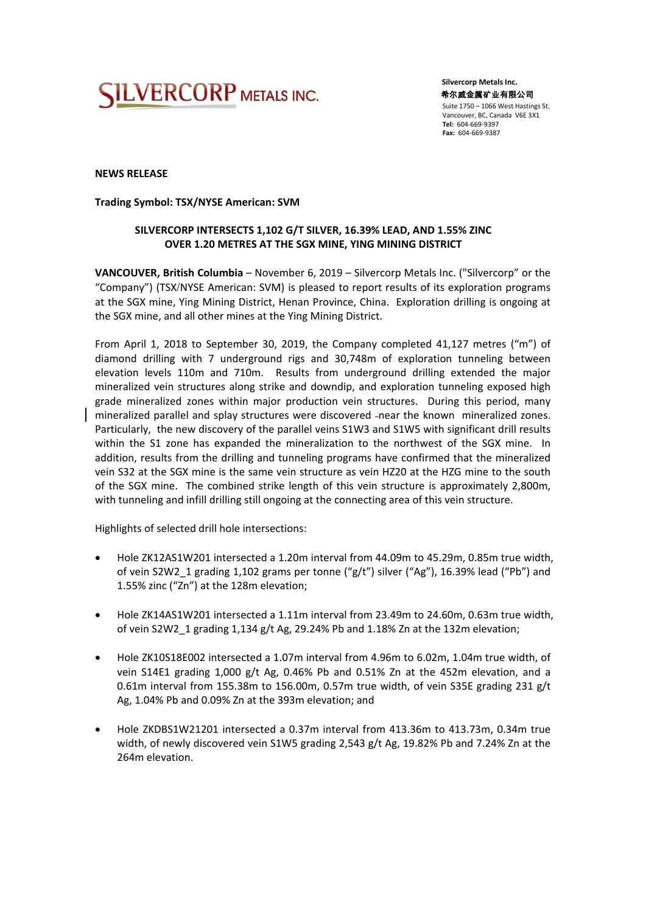

 **Silvercorp Metals Inc.** 希尔威金属矿业有限公司 Suite 1750 – 1066 West Hastings St. Vancouver, BC, Canada V6E 3X1  **Tel:** 604‐669‐9397  **Fax:** 604‐669‐9387

### **NEWS RELEASE**

**Trading Symbol: TSX/NYSE American: SVM**

## **SILVERCORP INTERSECTS 1,102 G/T SILVER, 16.39% LEAD, AND 1.55% ZINC OVER 1.20 METRES AT THE SGX MINE, YING MINING DISTRICT**

**VANCOUVER, British Columbia** – November 6, 2019 – Silvercorp Metals Inc. ("Silvercorp" or the "Company") (TSX/NYSE American: SVM) is pleased to report results of its exploration programs at the SGX mine, Ying Mining District, Henan Province, China. Exploration drilling is ongoing at the SGX mine, and all other mines at the Ying Mining District.

From April 1, 2018 to September 30, 2019, the Company completed 41,127 metres ("m") of diamond drilling with 7 underground rigs and 30,748m of exploration tunneling between elevation levels 110m and 710m. Results from underground drilling extended the major mineralized vein structures along strike and downdip, and exploration tunneling exposed high grade mineralized zones within major production vein structures. During this period, many mineralized parallel and splay structures were discovered -near the known mineralized zones. Particularly, the new discovery of the parallel veins S1W3 and S1W5 with significant drill results within the S1 zone has expanded the mineralization to the northwest of the SGX mine. In addition, results from the drilling and tunneling programs have confirmed that the mineralized vein S32 at the SGX mine is the same vein structure as vein HZ20 at the HZG mine to the south of the SGX mine. The combined strike length of this vein structure is approximately 2,800m, with tunneling and infill drilling still ongoing at the connecting area of this vein structure.

Highlights of selected drill hole intersections:

- Hole ZK12AS1W201 intersected a 1.20m interval from 44.09m to 45.29m, 0.85m true width, of vein S2W2\_1 grading 1,102 grams per tonne  $({}^{\prime\prime}g/t^{\prime\prime})$  silver  $({}^{\prime\prime}Ag^{\prime\prime})$ , 16.39% lead  $({}^{\prime\prime}Pb^{\prime\prime})$  and 1.55% zinc ("Zn") at the 128m elevation;
- Hole ZK14AS1W201 intersected a 1.11m interval from 23.49m to 24.60m, 0.63m true width, of vein S2W2\_1 grading 1,134 g/t Ag, 29.24% Pb and 1.18% Zn at the 132m elevation;
- Hole ZK10S18E002 intersected a 1.07m interval from 4.96m to 6.02m, 1.04m true width, of vein S14E1 grading 1,000 g/t Ag, 0.46% Pb and 0.51% Zn at the 452m elevation, and a 0.61m interval from 155.38m to 156.00m, 0.57m true width, of vein S35E grading 231 g/t Ag, 1.04% Pb and 0.09% Zn at the 393m elevation; and
- Hole ZKDBS1W21201 intersected a 0.37m interval from 413.36m to 413.73m, 0.34m true width, of newly discovered vein S1W5 grading 2,543 g/t Ag, 19.82% Pb and 7.24% Zn at the 264m elevation.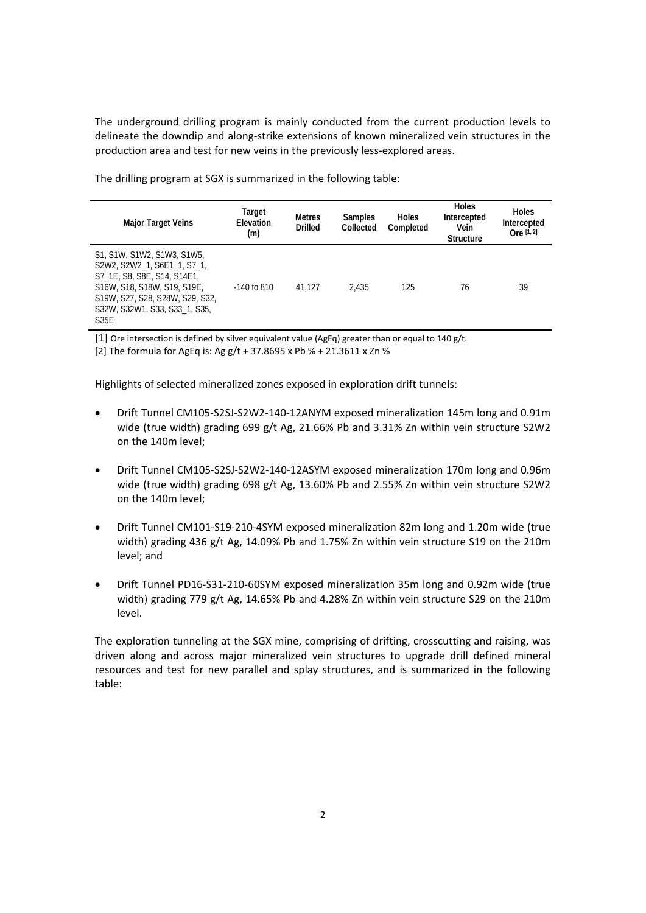The underground drilling program is mainly conducted from the current production levels to delineate the downdip and along‐strike extensions of known mineralized vein structures in the production area and test for new veins in the previously less‐explored areas.

| <b>Major Target Veins</b>                                                                                                                                                                           | Target<br><b>Elevation</b><br>(m) | <b>Metres</b><br><b>Drilled</b> | <b>Samples</b><br>Collected | <b>Holes</b><br>Completed | <b>Holes</b><br>Intercepted<br>Vein<br><b>Structure</b> | <b>Holes</b><br>Intercepted<br>Ore $[1, 2]$ |
|-----------------------------------------------------------------------------------------------------------------------------------------------------------------------------------------------------|-----------------------------------|---------------------------------|-----------------------------|---------------------------|---------------------------------------------------------|---------------------------------------------|
| S1, S1W, S1W2, S1W3, S1W5,<br>S2W2, S2W2 1, S6E1 1, S7 1,<br>S7 1E, S8, S8E, S14, S14E1,<br>S16W, S18, S18W, S19, S19E,<br>S19W, S27, S28, S28W, S29, S32,<br>S32W, S32W1, S33, S33 1, S35,<br>S35E | $-140$ to 810                     | 41.127                          | 2.435                       | 125                       | 76                                                      | 39                                          |

The drilling program at SGX is summarized in the following table:

[1] Ore intersection is defined by silver equivalent value (AgEq) greater than or equal to 140 g/t. [2] The formula for AgEq is: Ag g/t + 37.8695 x Pb % + 21.3611 x Zn %

Highlights of selected mineralized zones exposed in exploration drift tunnels:

- Drift Tunnel CM105‐S2SJ‐S2W2‐140‐12ANYM exposed mineralization 145m long and 0.91m wide (true width) grading 699 g/t Ag, 21.66% Pb and 3.31% Zn within vein structure S2W2 on the 140m level;
- Drift Tunnel CM105‐S2SJ‐S2W2‐140‐12ASYM exposed mineralization 170m long and 0.96m wide (true width) grading 698 g/t Ag, 13.60% Pb and 2.55% Zn within vein structure S2W2 on the 140m level;
- Drift Tunnel CM101‐S19‐210‐4SYM exposed mineralization 82m long and 1.20m wide (true width) grading 436 g/t Ag, 14.09% Pb and 1.75% Zn within vein structure S19 on the 210m level; and
- Drift Tunnel PD16‐S31‐210‐60SYM exposed mineralization 35m long and 0.92m wide (true width) grading 779 g/t Ag, 14.65% Pb and 4.28% Zn within vein structure S29 on the 210m level.

The exploration tunneling at the SGX mine, comprising of drifting, crosscutting and raising, was driven along and across major mineralized vein structures to upgrade drill defined mineral resources and test for new parallel and splay structures, and is summarized in the following table: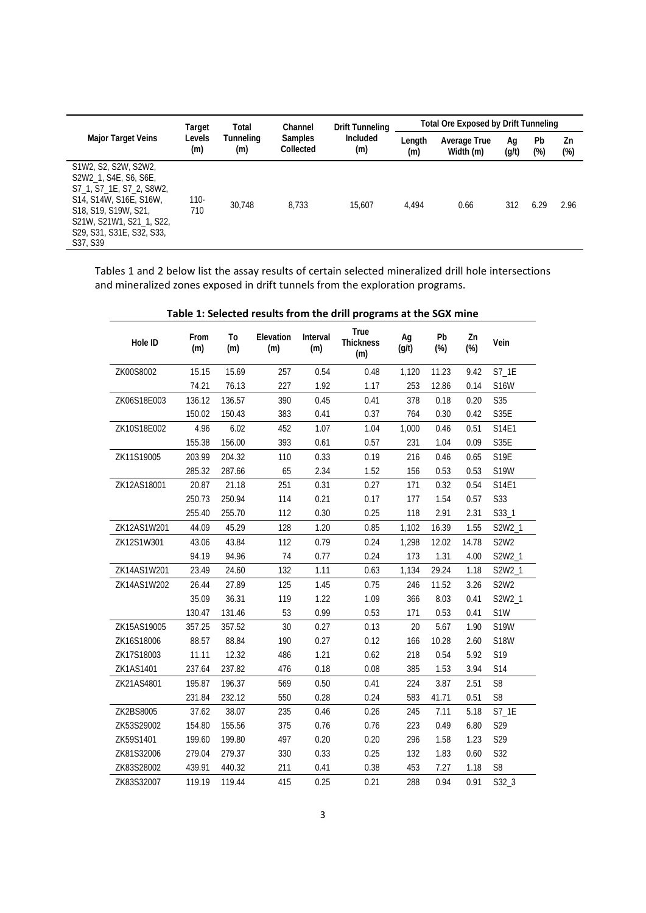| <b>Major Target Veins</b>                                                                                                                                                                        | Target         | Total            | Channel                     | <b>Drift Tunneling</b> |               | Total Ore Exposed by Drift Tunneling |             |              |              |  |
|--------------------------------------------------------------------------------------------------------------------------------------------------------------------------------------------------|----------------|------------------|-----------------------------|------------------------|---------------|--------------------------------------|-------------|--------------|--------------|--|
|                                                                                                                                                                                                  | Levels<br>(m)  | Tunneling<br>(m) | <b>Samples</b><br>Collected | Included<br>(m)        | Length<br>(m) | Average True<br>Width (m)            | Ag<br>(g/t) | Pb<br>$(\%)$ | Zn<br>$(\%)$ |  |
| S1W2, S2, S2W, S2W2,<br>S2W2 1, S4E, S6, S6E,<br>S7 1, S7 1E, S7 2, S8W2,<br>S14, S14W, S16E, S16W,<br>S18, S19, S19W, S21,<br>S21W, S21W1, S21 1, S22,<br>S29, S31, S31E, S32, S33,<br>S37, S39 | $110 -$<br>710 | 30.748           | 8.733                       | 15,607                 | 4.494         | 0.66                                 | 312         | 6.29         | 2.96         |  |

Tables 1 and 2 below list the assay results of certain selected mineralized drill hole intersections and mineralized zones exposed in drift tunnels from the exploration programs.

| Table 1: Selected results from the drill programs at the SGX mine |             |           |                  |                 |                                        |             |              |              |                |  |  |
|-------------------------------------------------------------------|-------------|-----------|------------------|-----------------|----------------------------------------|-------------|--------------|--------------|----------------|--|--|
| Hole ID                                                           | From<br>(m) | To<br>(m) | Elevation<br>(m) | Interval<br>(m) | <b>True</b><br><b>Thickness</b><br>(m) | Ag<br>(g/t) | Pb<br>$(\%)$ | Zn<br>$(\%)$ | Vein           |  |  |
| ZK00S8002                                                         | 15.15       | 15.69     | 257              | 0.54            | 0.48                                   | 1,120       | 11.23        | 9.42         | $S7_1E$        |  |  |
|                                                                   | 74.21       | 76.13     | 227              | 1.92            | 1.17                                   | 253         | 12.86        | 0.14         | <b>S16W</b>    |  |  |
| ZK06S18E003                                                       | 136.12      | 136.57    | 390              | 0.45            | 0.41                                   | 378         | 0.18         | 0.20         | S35            |  |  |
|                                                                   | 150.02      | 150.43    | 383              | 0.41            | 0.37                                   | 764         | 0.30         | 0.42         | S35E           |  |  |
| ZK10S18E002                                                       | 4.96        | 6.02      | 452              | 1.07            | 1.04                                   | 1,000       | 0.46         | 0.51         | S14E1          |  |  |
|                                                                   | 155.38      | 156.00    | 393              | 0.61            | 0.57                                   | 231         | 1.04         | 0.09         | S35E           |  |  |
| ZK11S19005                                                        | 203.99      | 204.32    | 110              | 0.33            | 0.19                                   | 216         | 0.46         | 0.65         | S19E           |  |  |
|                                                                   | 285.32      | 287.66    | 65               | 2.34            | 1.52                                   | 156         | 0.53         | 0.53         | S19W           |  |  |
| ZK12AS18001                                                       | 20.87       | 21.18     | 251              | 0.31            | 0.27                                   | 171         | 0.32         | 0.54         | S14E1          |  |  |
|                                                                   | 250.73      | 250.94    | 114              | 0.21            | 0.17                                   | 177         | 1.54         | 0.57         | S33            |  |  |
|                                                                   | 255.40      | 255.70    | 112              | 0.30            | 0.25                                   | 118         | 2.91         | 2.31         | $S33_1$        |  |  |
| ZK12AS1W201                                                       | 44.09       | 45.29     | 128              | 1.20            | 0.85                                   | 1,102       | 16.39        | 1.55         | S2W2_1         |  |  |
| ZK12S1W301                                                        | 43.06       | 43.84     | 112              | 0.79            | 0.24                                   | 1,298       | 12.02        | 14.78        | S2W2           |  |  |
|                                                                   | 94.19       | 94.96     | 74               | 0.77            | 0.24                                   | 173         | 1.31         | 4.00         | S2W2_1         |  |  |
| ZK14AS1W201                                                       | 23.49       | 24.60     | 132              | 1.11            | 0.63                                   | 1,134       | 29.24        | 1.18         | S2W2_1         |  |  |
| ZK14AS1W202                                                       | 26.44       | 27.89     | 125              | 1.45            | 0.75                                   | 246         | 11.52        | 3.26         | S2W2           |  |  |
|                                                                   | 35.09       | 36.31     | 119              | 1.22            | 1.09                                   | 366         | 8.03         | 0.41         | S2W2_1         |  |  |
|                                                                   | 130.47      | 131.46    | 53               | 0.99            | 0.53                                   | 171         | 0.53         | 0.41         | S1W            |  |  |
| ZK15AS19005                                                       | 357.25      | 357.52    | 30               | 0.27            | 0.13                                   | 20          | 5.67         | 1.90         | S19W           |  |  |
| ZK16S18006                                                        | 88.57       | 88.84     | 190              | 0.27            | 0.12                                   | 166         | 10.28        | 2.60         | <b>S18W</b>    |  |  |
| ZK17S18003                                                        | 11.11       | 12.32     | 486              | 1.21            | 0.62                                   | 218         | 0.54         | 5.92         | S19            |  |  |
| ZK1AS1401                                                         | 237.64      | 237.82    | 476              | 0.18            | 0.08                                   | 385         | 1.53         | 3.94         | S14            |  |  |
| ZK21AS4801                                                        | 195.87      | 196.37    | 569              | 0.50            | 0.41                                   | 224         | 3.87         | 2.51         | S <sub>8</sub> |  |  |
|                                                                   | 231.84      | 232.12    | 550              | 0.28            | 0.24                                   | 583         | 41.71        | 0.51         | S <sub>8</sub> |  |  |
| ZK2BS8005                                                         | 37.62       | 38.07     | 235              | 0.46            | 0.26                                   | 245         | 7.11         | 5.18         | $S7_1E$        |  |  |
| ZK53S29002                                                        | 154.80      | 155.56    | 375              | 0.76            | 0.76                                   | 223         | 0.49         | 6.80         | S29            |  |  |
| ZK59S1401                                                         | 199.60      | 199.80    | 497              | 0.20            | 0.20                                   | 296         | 1.58         | 1.23         | S29            |  |  |
| ZK81S32006                                                        | 279.04      | 279.37    | 330              | 0.33            | 0.25                                   | 132         | 1.83         | 0.60         | S32            |  |  |
| ZK83S28002                                                        | 439.91      | 440.32    | 211              | 0.41            | 0.38                                   | 453         | 7.27         | 1.18         | S <sub>8</sub> |  |  |
| ZK83S32007                                                        | 119.19      | 119.44    | 415              | 0.25            | 0.21                                   | 288         | 0.94         | 0.91         | $S32_3$        |  |  |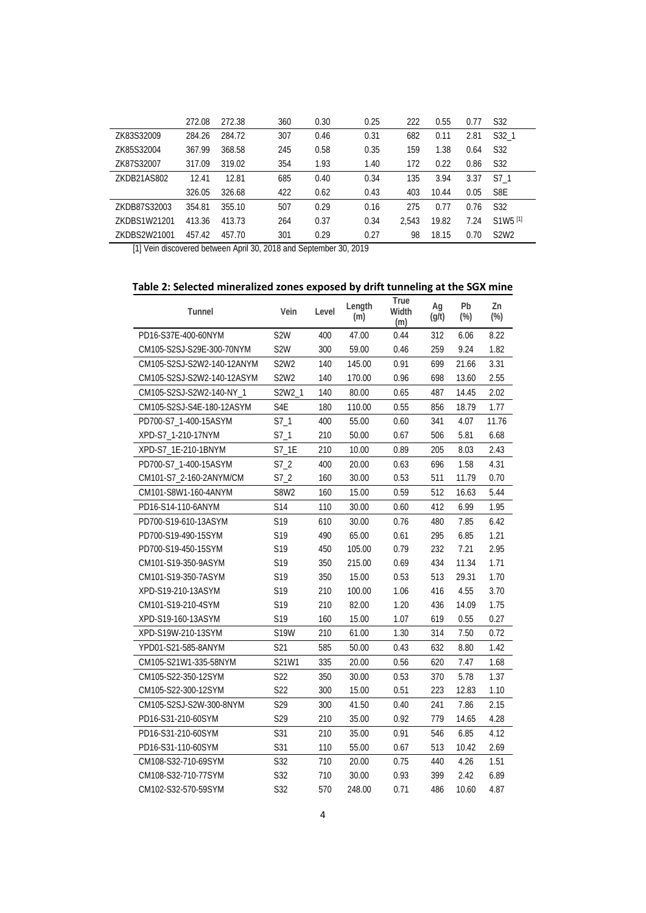|              | 272.08 | 272.38 | 360 | 0.30 | 0.25 | 222   | 0.55  | 0.77 | S <sub>32</sub>               |  |
|--------------|--------|--------|-----|------|------|-------|-------|------|-------------------------------|--|
| ZK83S32009   | 284.26 | 284.72 | 307 | 0.46 | 0.31 | 682   | 0.11  | 2.81 | S32 1                         |  |
| ZK85S32004   | 367.99 | 368.58 | 245 | 0.58 | 0.35 | 159   | 1.38  | 0.64 | S32                           |  |
| ZK87S32007   | 317.09 | 319.02 | 354 | 1.93 | 1.40 | 172   | 0.22  | 0.86 | S32                           |  |
| ZKDB21AS802  | 12.41  | 12.81  | 685 | 0.40 | 0.34 | 135   | 3.94  | 3.37 | S7 1                          |  |
|              | 326.05 | 326.68 | 422 | 0.62 | 0.43 | 403   | 10.44 | 0.05 | S <sub>8</sub> E              |  |
| ZKDB87S32003 | 354.81 | 355.10 | 507 | 0.29 | 0.16 | 275   | 0.77  | 0.76 | S <sub>32</sub>               |  |
| ZKDBS1W21201 | 413.36 | 413.73 | 264 | 0.37 | 0.34 | 2.543 | 19.82 | 7.24 | $S1W5$ <sup>[1]</sup>         |  |
| ZKDBS2W21001 | 457.42 | 457.70 | 301 | 0.29 | 0.27 | 98    | 18.15 | 0.70 | S <sub>2</sub> W <sub>2</sub> |  |

[1] Vein discovered between April 30, 2018 and September 30, 2019

# **Table 2: Selected mineralized zones exposed by drift tunneling at the SGX mine**

| Tunnel                     | Vein             | Level | Length<br>(m) | True<br>Width<br>(m) | Ag<br>(g/t) | Pb<br>$(\%)$ | Zn<br>$(\%)$ |
|----------------------------|------------------|-------|---------------|----------------------|-------------|--------------|--------------|
| PD16-S37E-400-60NYM        | S <sub>2</sub> W | 400   | 47.00         | 0.44                 | 312         | 6.06         | 8.22         |
| CM105-S2SJ-S29E-300-70NYM  | S <sub>2</sub> W | 300   | 59.00         | 0.46                 | 259         | 9.24         | 1.82         |
| CM105-S2SJ-S2W2-140-12ANYM | S2W2             | 140   | 145.00        | 0.91                 | 699         | 21.66        | 3.31         |
| CM105-S2SJ-S2W2-140-12ASYM | S2W2             | 140   | 170.00        | 0.96                 | 698         | 13.60        | 2.55         |
| CM105-S2SJ-S2W2-140-NY_1   | S2W2_1           | 140   | 80.00         | 0.65                 | 487         | 14.45        | 2.02         |
| CM105-S2SJ-S4E-180-12ASYM  | S4E              | 180   | 110.00        | 0.55                 | 856         | 18.79        | 1.77         |
| PD700-S7_1-400-15ASYM      | $S7_1$           | 400   | 55.00         | 0.60                 | 341         | 4.07         | 11.76        |
| XPD-S7 1-210-17NYM         | $S7_1$           | 210   | 50.00         | 0.67                 | 506         | 5.81         | 6.68         |
| XPD-S7_1E-210-1BNYM        | $S7_1E$          | 210   | 10.00         | 0.89                 | 205         | 8.03         | 2.43         |
| PD700-S7 1-400-15ASYM      | $S7_2$           | 400   | 20.00         | 0.63                 | 696         | 1.58         | 4.31         |
| CM101-S7_2-160-2ANYM/CM    | $S7_2$           | 160   | 30.00         | 0.53                 | 511         | 11.79        | 0.70         |
| CM101-S8W1-160-4ANYM       | S8W2             | 160   | 15.00         | 0.59                 | 512         | 16.63        | 5.44         |
| PD16-S14-110-6ANYM         | S14              | 110   | 30.00         | 0.60                 | 412         | 6.99         | 1.95         |
| PD700-S19-610-13ASYM       | S19              | 610   | 30.00         | 0.76                 | 480         | 7.85         | 6.42         |
| PD700-S19-490-15SYM        | S19              | 490   | 65.00         | 0.61                 | 295         | 6.85         | 1.21         |
| PD700-S19-450-15SYM        | S19              | 450   | 105.00        | 0.79                 | 232         | 7.21         | 2.95         |
| CM101-S19-350-9ASYM        | S19              | 350   | 215.00        | 0.69                 | 434         | 11.34        | 1.71         |
| CM101-S19-350-7ASYM        | S19              | 350   | 15.00         | 0.53                 | 513         | 29.31        | 1.70         |
| XPD-S19-210-13ASYM         | S19              | 210   | 100.00        | 1.06                 | 416         | 4.55         | 3.70         |
| CM101-S19-210-4SYM         | S19              | 210   | 82.00         | 1.20                 | 436         | 14.09        | 1.75         |
| XPD-S19-160-13ASYM         | S19              | 160   | 15.00         | 1.07                 | 619         | 0.55         | 0.27         |
| XPD-S19W-210-13SYM         | S19W             | 210   | 61.00         | 1.30                 | 314         | 7.50         | 0.72         |
| YPD01-S21-585-8ANYM        | S21              | 585   | 50.00         | 0.43                 | 632         | 8.80         | 1.42         |
| CM105-S21W1-335-58NYM      | S21W1            | 335   | 20.00         | 0.56                 | 620         | 7.47         | 1.68         |
| CM105-S22-350-12SYM        | S22              | 350   | 30.00         | 0.53                 | 370         | 5.78         | 1.37         |
| CM105-S22-300-12SYM        | S22              | 300   | 15.00         | 0.51                 | 223         | 12.83        | 1.10         |
| CM105-S2SJ-S2W-300-8NYM    | S29              | 300   | 41.50         | 0.40                 | 241         | 7.86         | 2.15         |
| PD16-S31-210-60SYM         | S29              | 210   | 35.00         | 0.92                 | 779         | 14.65        | 4.28         |
| PD16-S31-210-60SYM         | S31              | 210   | 35.00         | 0.91                 | 546         | 6.85         | 4.12         |
| PD16-S31-110-60SYM         | S31              | 110   | 55.00         | 0.67                 | 513         | 10.42        | 2.69         |
| CM108-S32-710-69SYM        | S32              | 710   | 20.00         | 0.75                 | 440         | 4.26         | 1.51         |
| CM108-S32-710-77SYM        | S32              | 710   | 30.00         | 0.93                 | 399         | 2.42         | 6.89         |
| CM102-S32-570-59SYM        | S32              | 570   | 248.00        | 0.71                 | 486         | 10.60        | 4.87         |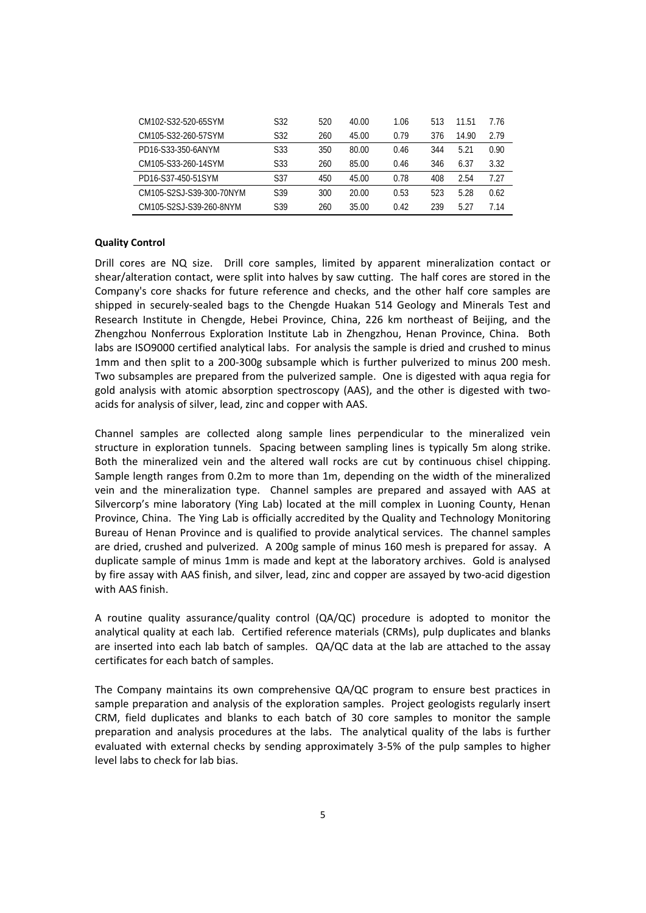| CM102-S32-520-65SYM      | S32             | 520 | 40.00 | 1.06 | 513 | 11.51 | 7.76 |
|--------------------------|-----------------|-----|-------|------|-----|-------|------|
| CM105-S32-260-57SYM      | S32             | 260 | 45.00 | 0.79 | 376 | 14.90 | 2.79 |
| PD16-S33-350-6ANYM       | S <sub>33</sub> | 350 | 80.00 | 0.46 | 344 | 5.21  | 0.90 |
| CM105-S33-260-14SYM      | S33             | 260 | 85.00 | 0.46 | 346 | 6.37  | 3.32 |
| PD16-S37-450-51SYM       | S37             | 450 | 45.00 | 0.78 | 408 | 2.54  | 7.27 |
| CM105-S2SJ-S39-300-70NYM | S39             | 300 | 20.00 | 0.53 | 523 | 5.28  | 0.62 |
| CM105-S2SJ-S39-260-8NYM  | S39             | 260 | 35.00 | 0.42 | 239 | 5.27  | 7.14 |

#### **Quality Control**

Drill cores are NQ size. Drill core samples, limited by apparent mineralization contact or shear/alteration contact, were split into halves by saw cutting. The half cores are stored in the Company's core shacks for future reference and checks, and the other half core samples are shipped in securely‐sealed bags to the Chengde Huakan 514 Geology and Minerals Test and Research Institute in Chengde, Hebei Province, China, 226 km northeast of Beijing, and the Zhengzhou Nonferrous Exploration Institute Lab in Zhengzhou, Henan Province, China. Both labs are ISO9000 certified analytical labs. For analysis the sample is dried and crushed to minus 1mm and then split to a 200‐300g subsample which is further pulverized to minus 200 mesh. Two subsamples are prepared from the pulverized sample. One is digested with aqua regia for gold analysis with atomic absorption spectroscopy (AAS), and the other is digested with twoacids for analysis of silver, lead, zinc and copper with AAS.

Channel samples are collected along sample lines perpendicular to the mineralized vein structure in exploration tunnels. Spacing between sampling lines is typically 5m along strike. Both the mineralized vein and the altered wall rocks are cut by continuous chisel chipping. Sample length ranges from 0.2m to more than 1m, depending on the width of the mineralized vein and the mineralization type. Channel samples are prepared and assayed with AAS at Silvercorp's mine laboratory (Ying Lab) located at the mill complex in Luoning County, Henan Province, China. The Ying Lab is officially accredited by the Quality and Technology Monitoring Bureau of Henan Province and is qualified to provide analytical services. The channel samples are dried, crushed and pulverized. A 200g sample of minus 160 mesh is prepared for assay. A duplicate sample of minus 1mm is made and kept at the laboratory archives. Gold is analysed by fire assay with AAS finish, and silver, lead, zinc and copper are assayed by two‐acid digestion with AAS finish.

A routine quality assurance/quality control (QA/QC) procedure is adopted to monitor the analytical quality at each lab. Certified reference materials (CRMs), pulp duplicates and blanks are inserted into each lab batch of samples. QA/QC data at the lab are attached to the assay certificates for each batch of samples.

The Company maintains its own comprehensive QA/QC program to ensure best practices in sample preparation and analysis of the exploration samples. Project geologists regularly insert CRM, field duplicates and blanks to each batch of 30 core samples to monitor the sample preparation and analysis procedures at the labs. The analytical quality of the labs is further evaluated with external checks by sending approximately 3‐5% of the pulp samples to higher level labs to check for lab bias.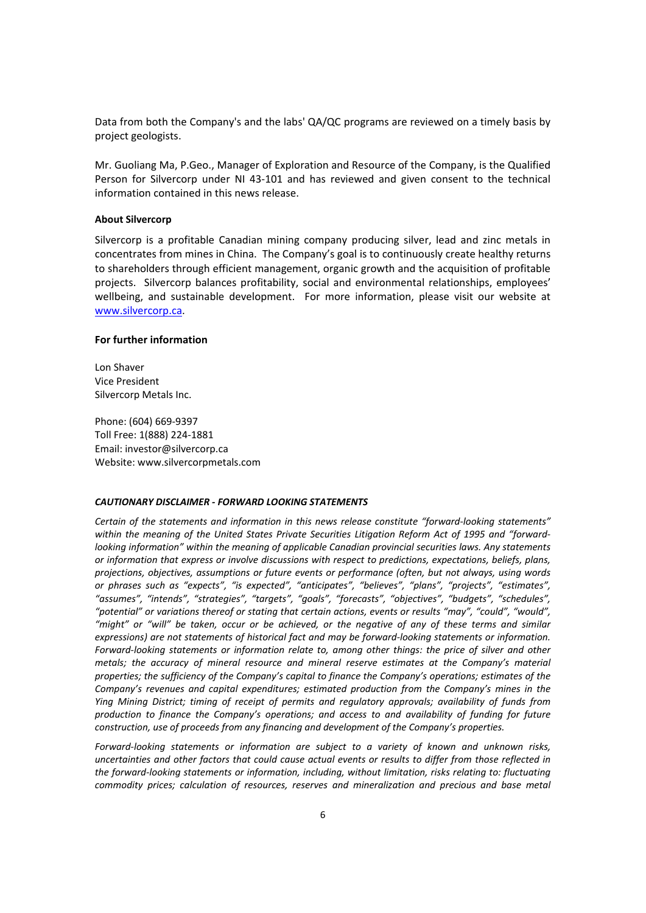Data from both the Company's and the labs' QA/QC programs are reviewed on a timely basis by project geologists.

Mr. Guoliang Ma, P.Geo., Manager of Exploration and Resource of the Company, is the Qualified Person for Silvercorp under NI 43‐101 and has reviewed and given consent to the technical information contained in this news release.

#### **About Silvercorp**

Silvercorp is a profitable Canadian mining company producing silver, lead and zinc metals in concentrates from mines in China. The Company's goal is to continuously create healthy returns to shareholders through efficient management, organic growth and the acquisition of profitable projects. Silvercorp balances profitability, social and environmental relationships, employees' wellbeing, and sustainable development. For more information, please visit our website at www.silvercorp.ca.

#### **For further information**

Lon Shaver Vice President Silvercorp Metals Inc.

Phone: (604) 669‐9397 Toll Free: 1(888) 224‐1881 Email: investor@silvercorp.ca Website: www.silvercorpmetals.com

#### *CAUTIONARY DISCLAIMER ‐ FORWARD LOOKING STATEMENTS*

*Certain of the statements and information in this news release constitute "forward‐looking statements" within the meaning of the United States Private Securities Litigation Reform Act of 1995 and "forward‐ looking information" within the meaning of applicable Canadian provincial securities laws. Any statements or information that express or involve discussions with respect to predictions, expectations, beliefs, plans, projections, objectives, assumptions or future events or performance (often, but not always, using words or phrases such as "expects", "is expected", "anticipates", "believes", "plans", "projects", "estimates", "assumes", "intends", "strategies", "targets", "goals", "forecasts", "objectives", "budgets", "schedules", "potential" or variations thereof or stating that certain actions, events or results "may", "could", "would",* "might" or "will" be taken, occur or be achieved, or the negative of any of these terms and similar expressions) are not statements of historical fact and may be forward-looking statements or information. *Forward‐looking statements or information relate to, among other things: the price of silver and other metals; the accuracy of mineral resource and mineral reserve estimates at the Company's material properties; the sufficiency of the Company's capital to finance the Company's operations; estimates of the Company's revenues and capital expenditures; estimated production from the Company's mines in the Ying Mining District; timing of receipt of permits and regulatory approvals; availability of funds from production to finance the Company's operations; and access to and availability of funding for future construction, use of proceeds from any financing and development of the Company's properties.*

*Forward‐looking statements or information are subject to a variety of known and unknown risks,* uncertainties and other factors that could cause actual events or results to differ from those reflected in *the forward‐looking statements or information, including, without limitation, risks relating to: fluctuating commodity prices; calculation of resources, reserves and mineralization and precious and base metal*